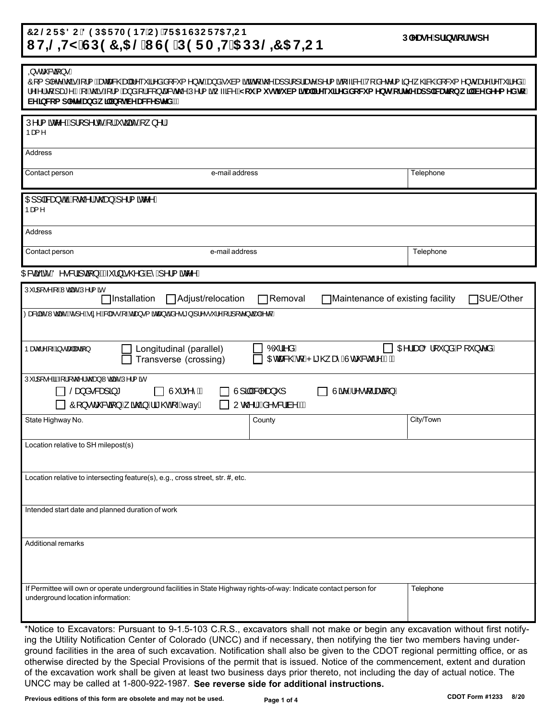## $7C@CF58C'89D5FHA9BH'C: HF5BGDCFH5H-CB$ **I H=@HM#GD97 =5 @I G9 D9FA = H 5 DD@ 7 5 H=CB**

#### 0}•d`&qã}•l

| Ot∙d`&cā[}∙K<br>Ô[{] ^c^Á@ãÁ[¦{ÉÁasca&@Áaa  Á^``ã^åÁa[&`{^}orÉáa}åÁ`à{ãóãóa{Á@^Áa}]¦[]¦ãæ^Á^¦{ãoÁ⊸ã&^ĚÁV[Áâ^c^¦{ã}^Á @&@Áa[&`{^}orÁaó^Á^``ã^åÉÁ<br>¦^-^¦Áq{Áæ/^ÁGÁ√ÁQSá́Ą́¦{Áao}å-@¦Á&{}cascÁQ^Á∫^¦{ãóÁJ~-a3c^ÈÁMciaighgiVa]hU``fYei]fYX`XcWiaYbhg`cf`h\Y`Udd`]WUh]cb`k [``VY`XYYaYXhc`<br>VY]bW:a d`YhYUbX'k j``bchVYUWWdhYX"A |  |           |           |
|---------------------------------------------------------------------------------------------------------------------------------------------------------------------------------------------------------------------------------------------------------------------------------------------------------------------------------|--|-----------|-----------|
| Ú^¦{ ãnc^^kÁ}¦[]^¦c^Á¦Á cā¦ãc^Á )^¦Á<br>$\overline{P}$ a $\uparrow$ ^                                                                                                                                                                                                                                                           |  |           |           |
| Address                                                                                                                                                                                                                                                                                                                         |  |           |           |
| Contact person<br>e-mail address                                                                                                                                                                                                                                                                                                |  | Telephone |           |
| OH]  asea of a 4 coo   Asoa a 4 ^   { acc^^ A<br>bæ{^                                                                                                                                                                                                                                                                           |  |           |           |
| Address                                                                                                                                                                                                                                                                                                                         |  |           |           |
| Contact person<br>e-mail address                                                                                                                                                                                                                                                                                                |  |           | Telephone |
| OBoãçãô ÁÖ^∙&¦ā]oã[}kÁQ≍¦}ãr@^åÁà^Á ^¦{ãoc^^D                                                                                                                                                                                                                                                                                   |  |           |           |
| Ú lj[•^Á - Á Noãã Á M¦{ão<br>1Installation<br>$\Box$ Removal<br>$\Box$ Adjust/relocation<br>□SUE/Other<br>□Maintenance of existing facility                                                                                                                                                                                     |  |           |           |
| Øæ&ãjãč ĐWđãjĉ ÁÇč]^ĎÁã^Ď&k¦æ• Ál~Ásæ)•{ãncæ}dĎá^•ã}Ál^•• ˇl^ÁlÁ[c^}cãæ}ĎAc&È                                                                                                                                                                                                                                                   |  |           |           |
| OPS¦ãne†BÕ¦[ˇ}åË{[ˇ}c^åÁ<br>O la åE<br>Þæč ¦^Á∖ ~Á§ ∙œa‡ æaā[}<br>Longitudinal (parallel)<br>O Eccas&@Áq{ÁPã@}æêÁÙ d'&c'¦^ÁÀKÁ<br>Transverse (crossing)                                                                                                                                                                         |  |           |           |
| Ú"   ] [ • ^ ÁSÁ     Á o@   Á QO } Á V cā a é Á V   { a c<br>$\Box$ Sæ}å•&æ} $a^*$<br>$\Box$ Ù ' $c^{\wedge^2}$ $\AA$<br><b>□ Ù] ୡୗ୵୫୫</b> ଁ]<br>□ Ùãe^Á^•q[aeaā]}Á<br>Uc@ 'Á@ <sub>4^</sub> •&'an^DAÁ<br>□ Ô[}•dˇ&cã[}Á ão@ã}Áã @dЁj—ËwayÁ                                                                                     |  |           |           |
| State Highway No.                                                                                                                                                                                                                                                                                                               |  | County    | City/Town |
| Location relative to SH milepost(s)                                                                                                                                                                                                                                                                                             |  |           |           |
| Location relative to intersecting feature(s), e.g., cross street, str. #, etc.                                                                                                                                                                                                                                                  |  |           |           |
| Intended start date and planned duration of work                                                                                                                                                                                                                                                                                |  |           |           |
| Additional remarks                                                                                                                                                                                                                                                                                                              |  |           |           |
| If Permittee will own or operate underground facilities in State Highway rights-of-way: Indicate contact person for<br>underground location information:                                                                                                                                                                        |  |           | Telephone |
| *Notice to Excavators: Pursuant to 9-1.5-103 C.R.S., excavators shall not make or begin any excavation without first notify-<br>ing the Utility Notification Center of Colorado (UNCC) and if necessary, then notifying the tier two members having under-                                                                      |  |           |           |

ing the Utility Notification Center of Colorado (UNCC) and if necessary, then notifying the tier two members having underground facilities in the area of such excavation. Notification shall also be given to the CDOT regional permitting office, or as otherwise directed by the Special Provisions of the permit that is issued. Notice of the commencement, extent and duration of the excavation work shall be given at least two business days prior thereto, not including the day of actual notice. The UNCC may be called at 1-800-922-1987. **See reverse side for additional instructions.**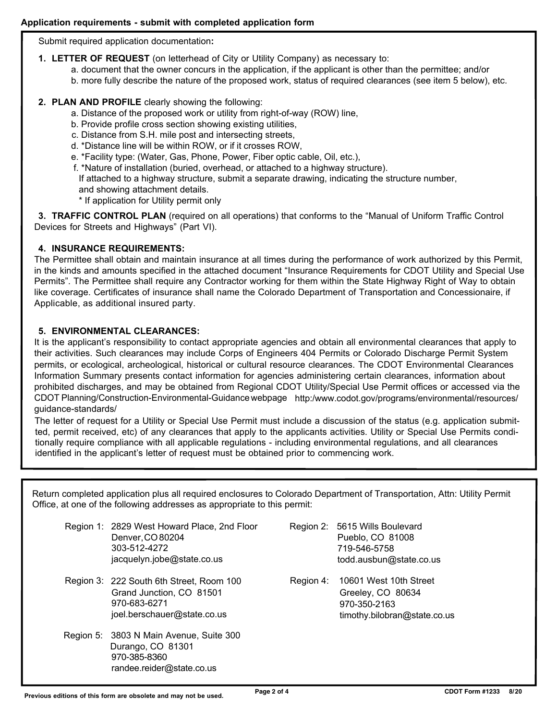Submit required application documentation**:**

- **1. LETTER OF REQUEST** (on letterhead of City or Utility Company) as necessary to:
	- a. document that the owner concurs in the application, if the applicant is other than the permittee; and/or
	- b. more fully describe the nature of the proposed work, status of required clearances (see item 5 below), etc.

#### **2. PLAN AND PROFILE** clearly showing the following:

- a. Distance of the proposed work or utility from right-of-way (ROW) line,
- b. Provide profile cross section showing existing utilities,
- c. Distance from S.H. mile post and intersecting streets,
- d. \*Distance line will be within ROW, or if it crosses ROW,
- e. \*Facility type: (Water, Gas, Phone, Power, Fiber optic cable, Oil, etc.),
- f. \*Nature of installation (buried, overhead, or attached to a highway structure). If attached to a highway structure, submit a separate drawing, indicating the structure number,
- and showing attachment details. \* If application for Utility permit only

**3. TRAFFIC CONTROL PLAN** (required on all operations) that conforms to the "Manual of Uniform Traffic Control Devices for Streets and Highways" (Part VI).

### **4. INSURANCE REQUIREMENTS:**

The Permittee shall obtain and maintain insurance at all times during the performance of work authorized by this Permit, in the kinds and amounts specified in the attached document "Insurance Requirements for CDOT Utility and Special Use Permits". The Permittee shall require any Contractor working for them within the State Highway Right of Way to obtain like coverage. Certificates of insurance shall name the Colorado Department of Transportation and Concessionaire, if Applicable, as additional insured party.

### **5. ENVIRONMENTAL CLEARANCES:**

It is the applicant's responsibility to contact appropriate agencies and obtain all environmental clearances that apply to their activities. Such clearances may include Corps of Engineers 404 Permits or Colorado Discharge Permit System permits, or ecological, archeological, historical or cultural resource clearances. The CDOT Environmental Clearances Information Summary presents contact information for agencies administering certain clearances, information about prohibited discharges, and may be obtained from Regional CDOT Utility/Special Use Permit offices or accessed via the CDOT Planning/Construction-Environmental-Guidance webpage http:/www.codot.gov/programs/environmental/resources/ guidance-standards/

The letter of request for a Utility or Special Use Permit must include a discussion of the status (e.g. application submitted, permit received, etc) of any clearances that apply to the applicants activities. Utility or Special Use Permits conditionally require compliance with all applicable regulations - including environmental regulations, and all clearances identified in the applicant's letter of request must be obtained prior to commencing work.

Return completed application plus all required enclosures to Colorado Department of Transportation, Attn: Utility Permit Office, at one of the following addresses as appropriate to this permit:

- Region 1: 2829 West Howard Place, 2nd Floor Region 2: 5615 Wills Boulevard Denver, CO 80204 303-512-4272 jacquelyn.jobe@state.co.us
- Region 3: 222 South 6th Street, Room 100 Region 4: 10601 West 10th Street Grand Junction, CO 81501 970-683-6271 joel.berschauer@state.co.us
- Region 5: 3803 N Main Avenue, Suite 300 Durango, CO 81301 970-385-8360 randee.reider@state.co.us
- Pueblo, CO 81008 719-546-5758 todd.ausbun@state.co.us
- Greeley, CO 80634 970-350-2163 timothy.bilobran@state.co.us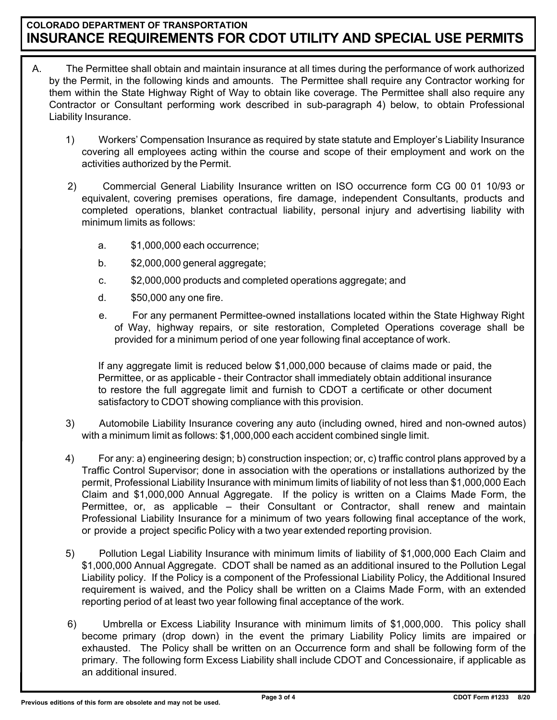# **COLORADO DEPARTMENT OF TRANSPORTATION INSURANCE REQUIREMENTS FOR CDOT UTILITY AND SPECIAL USE PERMITS**

- A. The Permittee shall obtain and maintain insurance at all times during the performance of work authorized by the Permit, in the following kinds and amounts. The Permittee shall require any Contractor working for them within the State Highway Right of Way to obtain like coverage. The Permittee shall also require any Contractor or Consultant performing work described in sub-paragraph 4) below, to obtain Professional Liability Insurance.
	- 1) Workers' Compensation Insurance as required by state statute and Employer's Liability Insurance covering all employees acting within the course and scope of their employment and work on the activities authorized by the Permit.
	- 2) Commercial General Liability Insurance written on ISO occurrence form CG 00 01 10/93 or equivalent, covering premises operations, fire damage, independent Consultants, products and completed operations, blanket contractual liability, personal injury and advertising liability with minimum limits as follows:
		- a. \$1,000,000 each occurrence;
		- b. \$2,000,000 general aggregate;
		- c. \$2,000,000 products and completed operations aggregate; and
		- d. \$50,000 any one fire.
		- e. For any permanent Permittee-owned installations located within the State Highway Right of Way, highway repairs, or site restoration, Completed Operations coverage shall be provided for a minimum period of one year following final acceptance of work.

If any aggregate limit is reduced below \$1,000,000 because of claims made or paid, the Permittee, or as applicable - their Contractor shall immediately obtain additional insurance to restore the full aggregate limit and furnish to CDOT a certificate or other document satisfactory to CDOT showing compliance with this provision.

- 3) Automobile Liability Insurance covering any auto (including owned, hired and non-owned autos) with a minimum limit as follows: \$1,000,000 each accident combined single limit.
- 4) For any: a) engineering design; b) construction inspection; or, c) traffic control plans approved by a Traffic Control Supervisor; done in association with the operations or installations authorized by the permit, Professional Liability Insurance with minimum limits of liability of not less than \$1,000,000 Each Claim and \$1,000,000 Annual Aggregate. If the policy is written on a Claims Made Form, the Permittee, or, as applicable – their Consultant or Contractor, shall renew and maintain Professional Liability Insurance for a minimum of two years following final acceptance of the work, or provide a project specific Policy with a two year extended reporting provision.
- 5) Pollution Legal Liability Insurance with minimum limits of liability of \$1,000,000 Each Claim and \$1,000,000 Annual Aggregate. CDOT shall be named as an additional insured to the Pollution Legal Liability policy. If the Policy is a component of the Professional Liability Policy, the Additional Insured requirement is waived, and the Policy shall be written on a Claims Made Form, with an extended reporting period of at least two year following final acceptance of the work.
- 6) Umbrella or Excess Liability Insurance with minimum limits of \$1,000,000. This policy shall become primary (drop down) in the event the primary Liability Policy limits are impaired or exhausted. The Policy shall be written on an Occurrence form and shall be following form of the primary. The following form Excess Liability shall include CDOT and Concessionaire, if applicable as an additional insured.